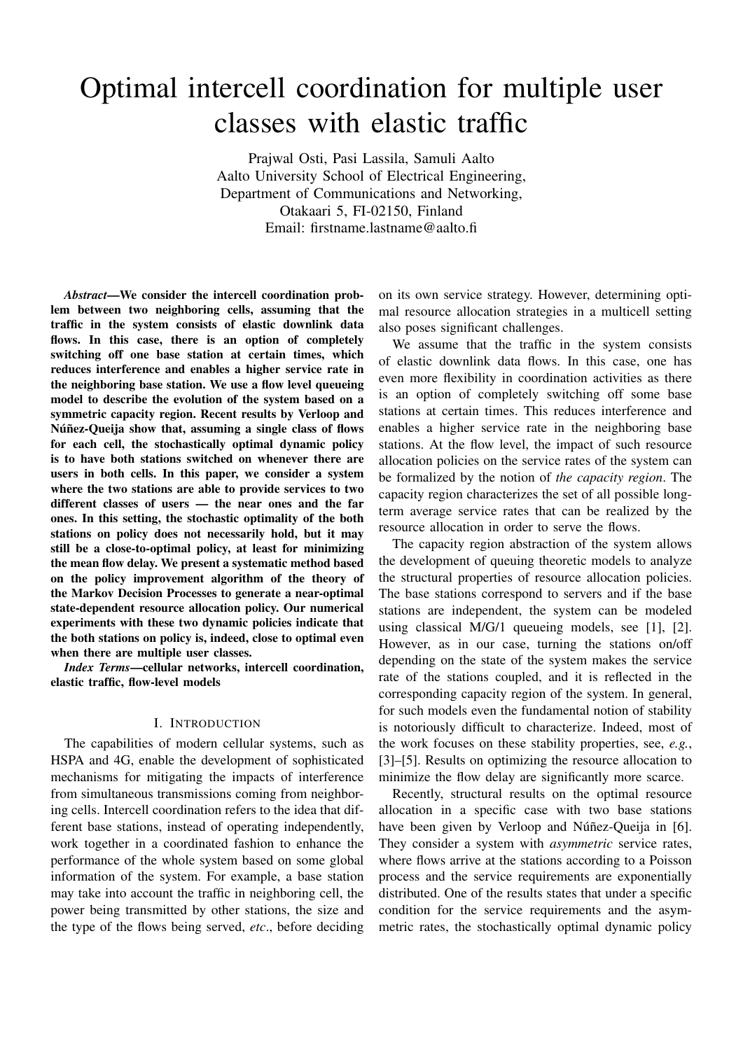# Optimal intercell coordination for multiple user classes with elastic traffic

Prajwal Osti, Pasi Lassila, Samuli Aalto Aalto University School of Electrical Engineering, Department of Communications and Networking, Otakaari 5, FI-02150, Finland Email: firstname.lastname@aalto.fi

*Abstract*—We consider the intercell coordination problem between two neighboring cells, assuming that the traffic in the system consists of elastic downlink data flows. In this case, there is an option of completely switching off one base station at certain times, which reduces interference and enables a higher service rate in the neighboring base station. We use a flow level queueing model to describe the evolution of the system based on a symmetric capacity region. Recent results by Verloop and Núñez-Queija show that, assuming a single class of flows for each cell, the stochastically optimal dynamic policy is to have both stations switched on whenever there are users in both cells. In this paper, we consider a system where the two stations are able to provide services to two different classes of users — the near ones and the far ones. In this setting, the stochastic optimality of the both stations on policy does not necessarily hold, but it may still be a close-to-optimal policy, at least for minimizing the mean flow delay. We present a systematic method based on the policy improvement algorithm of the theory of the Markov Decision Processes to generate a near-optimal state-dependent resource allocation policy. Our numerical experiments with these two dynamic policies indicate that the both stations on policy is, indeed, close to optimal even when there are multiple user classes.

*Index Terms*—cellular networks, intercell coordination, elastic traffic, flow-level models

# I. INTRODUCTION

The capabilities of modern cellular systems, such as HSPA and 4G, enable the development of sophisticated mechanisms for mitigating the impacts of interference from simultaneous transmissions coming from neighboring cells. Intercell coordination refers to the idea that different base stations, instead of operating independently, work together in a coordinated fashion to enhance the performance of the whole system based on some global information of the system. For example, a base station may take into account the traffic in neighboring cell, the power being transmitted by other stations, the size and the type of the flows being served, *etc*., before deciding

on its own service strategy. However, determining optimal resource allocation strategies in a multicell setting also poses significant challenges.

We assume that the traffic in the system consists of elastic downlink data flows. In this case, one has even more flexibility in coordination activities as there is an option of completely switching off some base stations at certain times. This reduces interference and enables a higher service rate in the neighboring base stations. At the flow level, the impact of such resource allocation policies on the service rates of the system can be formalized by the notion of *the capacity region*. The capacity region characterizes the set of all possible longterm average service rates that can be realized by the resource allocation in order to serve the flows.

The capacity region abstraction of the system allows the development of queuing theoretic models to analyze the structural properties of resource allocation policies. The base stations correspond to servers and if the base stations are independent, the system can be modeled using classical M/G/1 queueing models, see [1], [2]. However, as in our case, turning the stations on/off depending on the state of the system makes the service rate of the stations coupled, and it is reflected in the corresponding capacity region of the system. In general, for such models even the fundamental notion of stability is notoriously difficult to characterize. Indeed, most of the work focuses on these stability properties, see, *e.g.*, [3]–[5]. Results on optimizing the resource allocation to minimize the flow delay are significantly more scarce.

Recently, structural results on the optimal resource allocation in a specific case with two base stations have been given by Verloop and Núñez-Queija in [6]. They consider a system with *asymmetric* service rates, where flows arrive at the stations according to a Poisson process and the service requirements are exponentially distributed. One of the results states that under a specific condition for the service requirements and the asymmetric rates, the stochastically optimal dynamic policy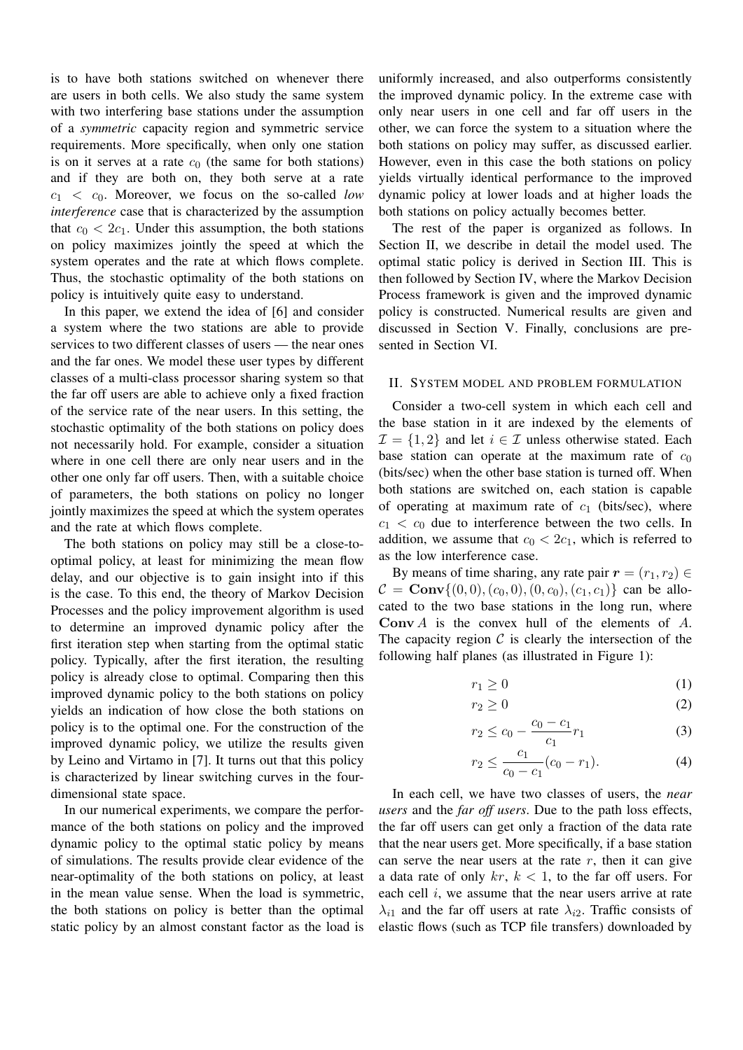is to have both stations switched on whenever there are users in both cells. We also study the same system with two interfering base stations under the assumption of a *symmetric* capacity region and symmetric service requirements. More specifically, when only one station is on it serves at a rate  $c_0$  (the same for both stations) and if they are both on, they both serve at a rate  $c_1 < c_0$ . Moreover, we focus on the so-called *low interference* case that is characterized by the assumption that  $c_0 < 2c_1$ . Under this assumption, the both stations on policy maximizes jointly the speed at which the system operates and the rate at which flows complete. Thus, the stochastic optimality of the both stations on policy is intuitively quite easy to understand.

In this paper, we extend the idea of [6] and consider a system where the two stations are able to provide services to two different classes of users — the near ones and the far ones. We model these user types by different classes of a multi-class processor sharing system so that the far off users are able to achieve only a fixed fraction of the service rate of the near users. In this setting, the stochastic optimality of the both stations on policy does not necessarily hold. For example, consider a situation where in one cell there are only near users and in the other one only far off users. Then, with a suitable choice of parameters, the both stations on policy no longer jointly maximizes the speed at which the system operates and the rate at which flows complete.

The both stations on policy may still be a close-tooptimal policy, at least for minimizing the mean flow delay, and our objective is to gain insight into if this is the case. To this end, the theory of Markov Decision Processes and the policy improvement algorithm is used to determine an improved dynamic policy after the first iteration step when starting from the optimal static policy. Typically, after the first iteration, the resulting policy is already close to optimal. Comparing then this improved dynamic policy to the both stations on policy yields an indication of how close the both stations on policy is to the optimal one. For the construction of the improved dynamic policy, we utilize the results given by Leino and Virtamo in [7]. It turns out that this policy is characterized by linear switching curves in the fourdimensional state space.

In our numerical experiments, we compare the performance of the both stations on policy and the improved dynamic policy to the optimal static policy by means of simulations. The results provide clear evidence of the near-optimality of the both stations on policy, at least in the mean value sense. When the load is symmetric, the both stations on policy is better than the optimal static policy by an almost constant factor as the load is

uniformly increased, and also outperforms consistently the improved dynamic policy. In the extreme case with only near users in one cell and far off users in the other, we can force the system to a situation where the both stations on policy may suffer, as discussed earlier. However, even in this case the both stations on policy yields virtually identical performance to the improved dynamic policy at lower loads and at higher loads the both stations on policy actually becomes better.

The rest of the paper is organized as follows. In Section II, we describe in detail the model used. The optimal static policy is derived in Section III. This is then followed by Section IV, where the Markov Decision Process framework is given and the improved dynamic policy is constructed. Numerical results are given and discussed in Section V. Finally, conclusions are presented in Section VI.

## II. SYSTEM MODEL AND PROBLEM FORMULATION

Consider a two-cell system in which each cell and the base station in it are indexed by the elements of  $\mathcal{I} = \{1, 2\}$  and let  $i \in \mathcal{I}$  unless otherwise stated. Each base station can operate at the maximum rate of  $c_0$ (bits/sec) when the other base station is turned off. When both stations are switched on, each station is capable of operating at maximum rate of  $c_1$  (bits/sec), where  $c_1 < c_0$  due to interference between the two cells. In addition, we assume that  $c_0 < 2c_1$ , which is referred to as the low interference case.

By means of time sharing, any rate pair  $r = (r_1, r_2) \in$  $C = Conv\{(0,0), (c_0, 0), (0, c_0), (c_1, c_1)\}\)$  can be allocated to the two base stations in the long run, where Conv  $A$  is the convex hull of the elements of  $A$ . The capacity region  $\mathcal C$  is clearly the intersection of the following half planes (as illustrated in Figure 1):

$$
r_1 \ge 0 \tag{1}
$$

$$
r_2 \ge 0 \tag{2}
$$

$$
r_2 \le c_0 - \frac{c_0 - c_1}{c_1} r_1 \tag{3}
$$

$$
r_2 \le \frac{c_1}{c_0 - c_1} (c_0 - r_1). \tag{4}
$$

In each cell, we have two classes of users, the *near users* and the *far off users*. Due to the path loss effects, the far off users can get only a fraction of the data rate that the near users get. More specifically, if a base station can serve the near users at the rate  $r$ , then it can give a data rate of only  $kr$ ,  $k$  < 1, to the far off users. For each cell  $i$ , we assume that the near users arrive at rate  $\lambda_{i1}$  and the far off users at rate  $\lambda_{i2}$ . Traffic consists of elastic flows (such as TCP file transfers) downloaded by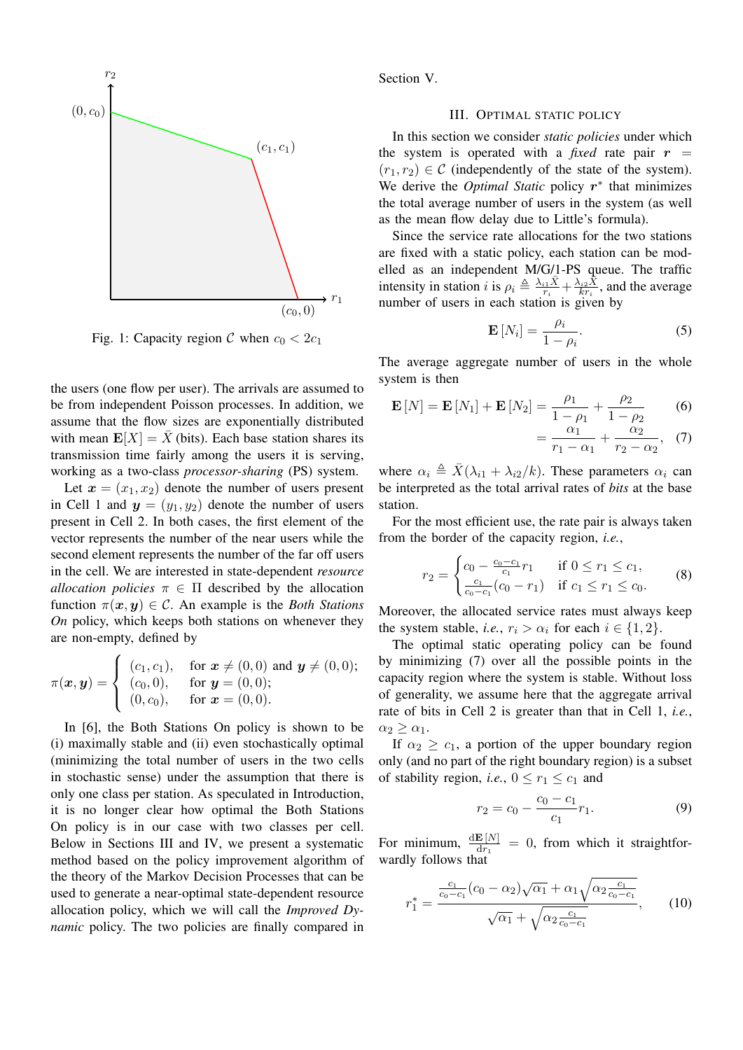

Fig. 1: Capacity region C when  $c_0 < 2c_1$ 

the users (one flow per user). The arrivals are assumed to be from independent Poisson processes. In addition, we assume that the flow sizes are exponentially distributed with mean  $\mathbf{E}[X] = \overline{X}$  (bits). Each base station shares its transmission time fairly among the users it is serving, working as a two-class *processor-sharing* (PS) system.

Let  $x = (x_1, x_2)$  denote the number of users present in Cell 1 and  $y = (y_1, y_2)$  denote the number of users present in Cell 2. In both cases, the first element of the vector represents the number of the near users while the second element represents the number of the far off users in the cell. We are interested in state-dependent *resource allocation policies*  $\pi \in \Pi$  described by the allocation function  $\pi(x, y) \in C$ . An example is the *Both Stations On* policy, which keeps both stations on whenever they are non-empty, defined by

$$
\pi(\boldsymbol{x}, \boldsymbol{y}) = \begin{cases}\n(c_1, c_1), & \text{for } \boldsymbol{x} \neq (0, 0) \text{ and } \boldsymbol{y} \neq (0, 0); \\
(c_0, 0), & \text{for } \boldsymbol{y} = (0, 0); \\
(0, c_0), & \text{for } \boldsymbol{x} = (0, 0).\n\end{cases}
$$

In [6], the Both Stations On policy is shown to be (i) maximally stable and (ii) even stochastically optimal (minimizing the total number of users in the two cells in stochastic sense) under the assumption that there is only one class per station. As speculated in Introduction, it is no longer clear how optimal the Both Stations On policy is in our case with two classes per cell. Below in Sections III and IV, we present a systematic method based on the policy improvement algorithm of the theory of the Markov Decision Processes that can be used to generate a near-optimal state-dependent resource allocation policy, which we will call the *Improved Dynamic* policy. The two policies are finally compared in

Section V.

# III. OPTIMAL STATIC POLICY

In this section we consider *static policies* under which the system is operated with a *fixed* rate pair  $r =$  $(r_1, r_2) \in \mathcal{C}$  (independently of the state of the system). We derive the *Optimal Static* policy  $r^*$  that minimizes the total average number of users in the system (as well as the mean flow delay due to Little's formula).

Since the service rate allocations for the two stations are fixed with a static policy, each station can be modelled as an independent M/G/1-PS queue. The traffic intensity in station i is  $\rho_i \triangleq \frac{\lambda_{i1} \bar{X}}{r_i}$  $\frac{{}_{i1}\bar{X}}{r_{i}}+\frac{\lambda_{i2}\bar{X}}{kr_{i}}$  $\frac{\lambda_{i2}X}{k r_i}$ , and the average number of users in each station is given by

$$
\mathbf{E}\left[N_i\right] = \frac{\rho_i}{1 - \rho_i}.\tag{5}
$$

The average aggregate number of users in the whole system is then

$$
\mathbf{E}[N] = \mathbf{E}[N_1] + \mathbf{E}[N_2] = \frac{\rho_1}{1 - \rho_1} + \frac{\rho_2}{1 - \rho_2}
$$
(6)  
= 
$$
\frac{\alpha_1}{r_1 - \alpha_1} + \frac{\alpha_2}{r_2 - \alpha_2}
$$
(7)

where  $\alpha_i \triangleq \overline{X}(\lambda_{i1} + \lambda_{i2}/k)$ . These parameters  $\alpha_i$  can be interpreted as the total arrival rates of *bits* at the base station.

For the most efficient use, the rate pair is always taken from the border of the capacity region, *i.e.*,

$$
r_2 = \begin{cases} c_0 - \frac{c_0 - c_1}{c_1} r_1 & \text{if } 0 \le r_1 \le c_1, \\ \frac{c_1}{c_0 - c_1} (c_0 - r_1) & \text{if } c_1 \le r_1 \le c_0. \end{cases}
$$
 (8)

Moreover, the allocated service rates must always keep the system stable, *i.e.*,  $r_i > \alpha_i$  for each  $i \in \{1, 2\}$ .

The optimal static operating policy can be found by minimizing (7) over all the possible points in the capacity region where the system is stable. Without loss of generality, we assume here that the aggregate arrival rate of bits in Cell 2 is greater than that in Cell 1, *i.e.*,  $\alpha_2 \geq \alpha_1$ .

If  $\alpha_2 \geq c_1$ , a portion of the upper boundary region only (and no part of the right boundary region) is a subset of stability region, *i.e.*,  $0 \le r_1 \le c_1$  and

$$
r_2 = c_0 - \frac{c_0 - c_1}{c_1} r_1.
$$
\n(9)

For minimum,  $\frac{d\mathbf{E}[N]}{dr_1} = 0$ , from which it straightforwardly follows that

$$
r_1^* = \frac{\frac{c_1}{c_0 - c_1}(c_0 - \alpha_2)\sqrt{\alpha_1} + \alpha_1\sqrt{\alpha_2 \frac{c_1}{c_0 - c_1}}}{\sqrt{\alpha_1} + \sqrt{\alpha_2 \frac{c_1}{c_0 - c_1}}},\qquad(10)
$$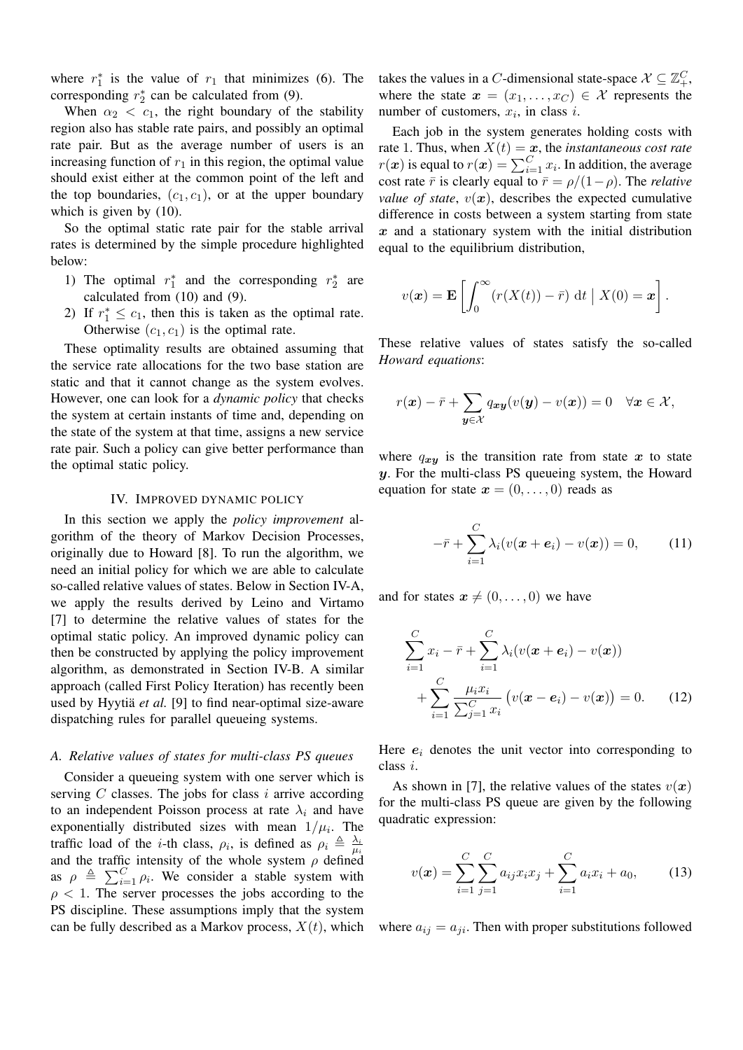where  $r_1^*$  is the value of  $r_1$  that minimizes (6). The corresponding  $r_2^*$  can be calculated from (9).

When  $\alpha_2 < c_1$ , the right boundary of the stability region also has stable rate pairs, and possibly an optimal rate pair. But as the average number of users is an increasing function of  $r_1$  in this region, the optimal value should exist either at the common point of the left and the top boundaries,  $(c_1, c_1)$ , or at the upper boundary which is given by  $(10)$ .

So the optimal static rate pair for the stable arrival rates is determined by the simple procedure highlighted below:

- 1) The optimal  $r_1^*$  and the corresponding  $r_2^*$  are calculated from (10) and (9).
- 2) If  $r_1^* \leq c_1$ , then this is taken as the optimal rate. Otherwise  $(c_1, c_1)$  is the optimal rate.

These optimality results are obtained assuming that the service rate allocations for the two base station are static and that it cannot change as the system evolves. However, one can look for a *dynamic policy* that checks the system at certain instants of time and, depending on the state of the system at that time, assigns a new service rate pair. Such a policy can give better performance than the optimal static policy.

## IV. IMPROVED DYNAMIC POLICY

In this section we apply the *policy improvement* algorithm of the theory of Markov Decision Processes, originally due to Howard [8]. To run the algorithm, we need an initial policy for which we are able to calculate so-called relative values of states. Below in Section IV-A, we apply the results derived by Leino and Virtamo [7] to determine the relative values of states for the optimal static policy. An improved dynamic policy can then be constructed by applying the policy improvement algorithm, as demonstrated in Section IV-B. A similar approach (called First Policy Iteration) has recently been used by Hyytiä *et al.* [9] to find near-optimal size-aware dispatching rules for parallel queueing systems.

## *A. Relative values of states for multi-class PS queues*

Consider a queueing system with one server which is serving  $C$  classes. The jobs for class i arrive according to an independent Poisson process at rate  $\lambda_i$  and have exponentially distributed sizes with mean  $1/\mu_i$ . The traffic load of the *i*-th class,  $\rho_i$ , is defined as  $\rho_i \triangleq \frac{\lambda_i}{\mu_i}$  $\mu_i$ and the traffic intensity of the whole system  $\rho$  defined as  $\rho \triangleq \sum_{i=1}^{C} \rho_i$ . We consider a stable system with  $\rho$  < 1. The server processes the jobs according to the PS discipline. These assumptions imply that the system can be fully described as a Markov process,  $X(t)$ , which takes the values in a C-dimensional state-space  $X \subseteq \mathbb{Z}_+^C$ , where the state  $x = (x_1, \ldots, x_C) \in \mathcal{X}$  represents the number of customers,  $x_i$ , in class i.

Each job in the system generates holding costs with rate 1. Thus, when  $X(t) = x$ , the *instantaneous cost rate*  $r(\boldsymbol{x})$  is equal to  $r(\boldsymbol{x}) = \sum_{i=1}^{C} x_i$ . In addition, the average cost rate  $\bar{r}$  is clearly equal to  $\bar{r} = \rho/(1-\rho)$ . The *relative value of state,*  $v(x)$ *, describes the expected cumulative* difference in costs between a system starting from state  $x$  and a stationary system with the initial distribution equal to the equilibrium distribution,

$$
v(\boldsymbol{x}) = \mathbf{E}\left[\int_0^\infty (r(X(t)) - \bar{r}) \, \mathrm{d}t \mid X(0) = \boldsymbol{x}\right].
$$

These relative values of states satisfy the so-called *Howard equations*:

$$
r(\boldsymbol{x}) - \bar{r} + \sum_{\boldsymbol{y} \in \mathcal{X}} q_{\boldsymbol{x}\boldsymbol{y}} (v(\boldsymbol{y}) - v(\boldsymbol{x})) = 0 \quad \forall \boldsymbol{x} \in \mathcal{X},
$$

where  $q_{xy}$  is the transition rate from state x to state y. For the multi-class PS queueing system, the Howard equation for state  $x = (0, \ldots, 0)$  reads as

$$
-\bar{r} + \sum_{i=1}^{C} \lambda_i (v(\boldsymbol{x} + \boldsymbol{e}_i) - v(\boldsymbol{x})) = 0, \qquad (11)
$$

and for states  $x \neq (0, \ldots, 0)$  we have

$$
\sum_{i=1}^{C} x_i - \bar{r} + \sum_{i=1}^{C} \lambda_i (v(\boldsymbol{x} + \boldsymbol{e}_i) - v(\boldsymbol{x})) + \sum_{i=1}^{C} \frac{\mu_i x_i}{\sum_{j=1}^{C} x_i} (v(\boldsymbol{x} - \boldsymbol{e}_i) - v(\boldsymbol{x})) = 0.
$$
 (12)

Here  $e_i$  denotes the unit vector into corresponding to class i.

As shown in [7], the relative values of the states  $v(x)$ for the multi-class PS queue are given by the following quadratic expression:

$$
v(\boldsymbol{x}) = \sum_{i=1}^{C} \sum_{j=1}^{C} a_{ij} x_i x_j + \sum_{i=1}^{C} a_i x_i + a_0, \qquad (13)
$$

where  $a_{ij} = a_{ji}$ . Then with proper substitutions followed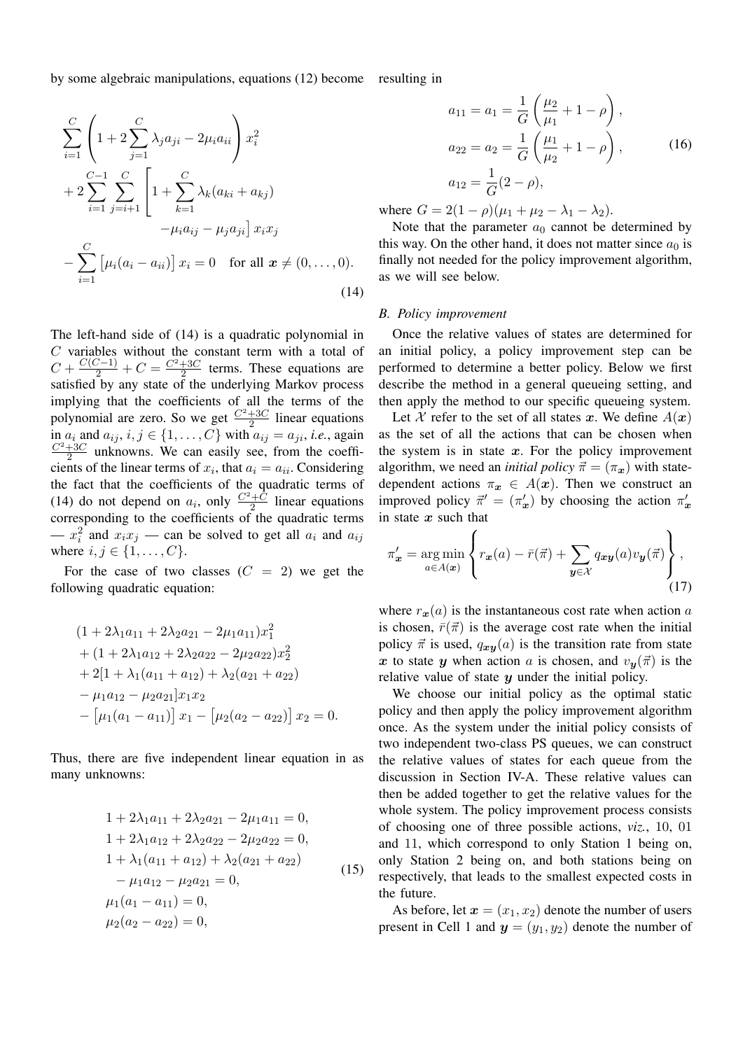by some algebraic manipulations, equations (12) become resulting in

$$
\sum_{i=1}^{C} \left( 1 + 2 \sum_{j=1}^{C} \lambda_j a_{ji} - 2 \mu_i a_{ii} \right) x_i^2
$$
  
+ 
$$
2 \sum_{i=1}^{C-1} \sum_{j=i+1}^{C} \left[ 1 + \sum_{k=1}^{C} \lambda_k (a_{ki} + a_{kj}) -\mu_i a_{ij} - \mu_j a_{ji} \right] x_i x_j
$$
  
- 
$$
\sum_{i=1}^{C} \left[ \mu_i (a_i - a_{ii}) \right] x_i = 0 \quad \text{for all } x \neq (0, ..., 0).
$$
 (14)

The left-hand side of (14) is a quadratic polynomial in C variables without the constant term with a total of  $C + \frac{C(C-1)}{2} + C = \frac{C^2 + 3C}{2}$  $\frac{+3C}{2}$  terms. These equations are satisfied by any state of the underlying Markov process implying that the coefficients of all the terms of the polynomial are zero. So we get  $\frac{C^2+3C}{2}$  linear equations in  $a_i$  and  $a_{ij}$ ,  $i, j \in \{1, \ldots, C\}$  with  $a_{ij} = a_{ji}$ , *i.e.*, again  $C^2+3C$  $\frac{+3C}{2}$  unknowns. We can easily see, from the coefficients of the linear terms of  $x_i$ , that  $a_i = a_{ii}$ . Considering the fact that the coefficients of the quadratic terms of (14) do not depend on  $a_i$ , only  $\frac{C^2 + \bar{C}}{2}$  linear equations corresponding to the coefficients of the quadratic terms  $-x_i^2$  and  $x_i x_j$  — can be solved to get all  $a_i$  and  $a_{ij}$ where  $i, j \in \{1, ..., C\}$ .

For the case of two classes  $(C = 2)$  we get the following quadratic equation:

$$
(1 + 2\lambda_1 a_{11} + 2\lambda_2 a_{21} - 2\mu_1 a_{11})x_1^2
$$
  
+ 
$$
(1 + 2\lambda_1 a_{12} + 2\lambda_2 a_{22} - 2\mu_2 a_{22})x_2^2
$$
  
+ 
$$
2[1 + \lambda_1(a_{11} + a_{12}) + \lambda_2(a_{21} + a_{22})
$$
  
- 
$$
\mu_1 a_{12} - \mu_2 a_{21}]x_1x_2
$$
  
- 
$$
[\mu_1(a_1 - a_{11})]x_1 - [\mu_2(a_2 - a_{22})]x_2 = 0.
$$

Thus, there are five independent linear equation in as many unknowns:

$$
1 + 2\lambda_1 a_{11} + 2\lambda_2 a_{21} - 2\mu_1 a_{11} = 0,
$$
  
\n
$$
1 + 2\lambda_1 a_{12} + 2\lambda_2 a_{22} - 2\mu_2 a_{22} = 0,
$$
  
\n
$$
1 + \lambda_1 (a_{11} + a_{12}) + \lambda_2 (a_{21} + a_{22}) - \mu_1 a_{12} - \mu_2 a_{21} = 0,
$$
  
\n
$$
\mu_1 (a_1 - a_{11}) = 0,
$$
  
\n
$$
\mu_2 (a_2 - a_{22}) = 0,
$$
\n(15)

$$
a_{11} = a_1 = \frac{1}{G} \left( \frac{\mu_2}{\mu_1} + 1 - \rho \right),
$$
  
\n
$$
a_{22} = a_2 = \frac{1}{G} \left( \frac{\mu_1}{\mu_2} + 1 - \rho \right),
$$
  
\n
$$
a_{12} = \frac{1}{G} (2 - \rho),
$$
\n(16)

where  $G = 2(1 - \rho)(\mu_1 + \mu_2 - \lambda_1 - \lambda_2)$ .

Note that the parameter  $a_0$  cannot be determined by this way. On the other hand, it does not matter since  $a_0$  is finally not needed for the policy improvement algorithm, as we will see below.

## *B. Policy improvement*

Once the relative values of states are determined for an initial policy, a policy improvement step can be performed to determine a better policy. Below we first describe the method in a general queueing setting, and then apply the method to our specific queueing system.

Let X refer to the set of all states x. We define  $A(x)$ as the set of all the actions that can be chosen when the system is in state  $x$ . For the policy improvement algorithm, we need an *initial policy*  $\vec{\pi} = (\pi_x)$  with statedependent actions  $\pi_x \in A(x)$ . Then we construct an improved policy  $\vec{\pi}' = (\pi'_x)$  by choosing the action  $\pi'_x$ in state  $x$  such that

$$
\pi'_{\boldsymbol{x}} = \underset{a \in A(\boldsymbol{x})}{\arg \min} \left\{ r_{\boldsymbol{x}}(a) - \bar{r}(\vec{\pi}) + \sum_{\boldsymbol{y} \in \mathcal{X}} q_{\boldsymbol{x}\boldsymbol{y}}(a) v_{\boldsymbol{y}}(\vec{\pi}) \right\},\tag{17}
$$

where  $r_{\boldsymbol{x}}(a)$  is the instantaneous cost rate when action a is chosen,  $\bar{r}(\vec{\pi})$  is the average cost rate when the initial policy  $\vec{\pi}$  is used,  $q_{xy}(a)$  is the transition rate from state x to state y when action a is chosen, and  $v_{\boldsymbol{u}}(\vec{\pi})$  is the relative value of state  $y$  under the initial policy.

We choose our initial policy as the optimal static policy and then apply the policy improvement algorithm once. As the system under the initial policy consists of two independent two-class PS queues, we can construct the relative values of states for each queue from the discussion in Section IV-A. These relative values can then be added together to get the relative values for the whole system. The policy improvement process consists of choosing one of three possible actions, *viz.*, 10, 01 and 11, which correspond to only Station 1 being on, only Station 2 being on, and both stations being on respectively, that leads to the smallest expected costs in the future.

As before, let  $x = (x_1, x_2)$  denote the number of users present in Cell 1 and  $y = (y_1, y_2)$  denote the number of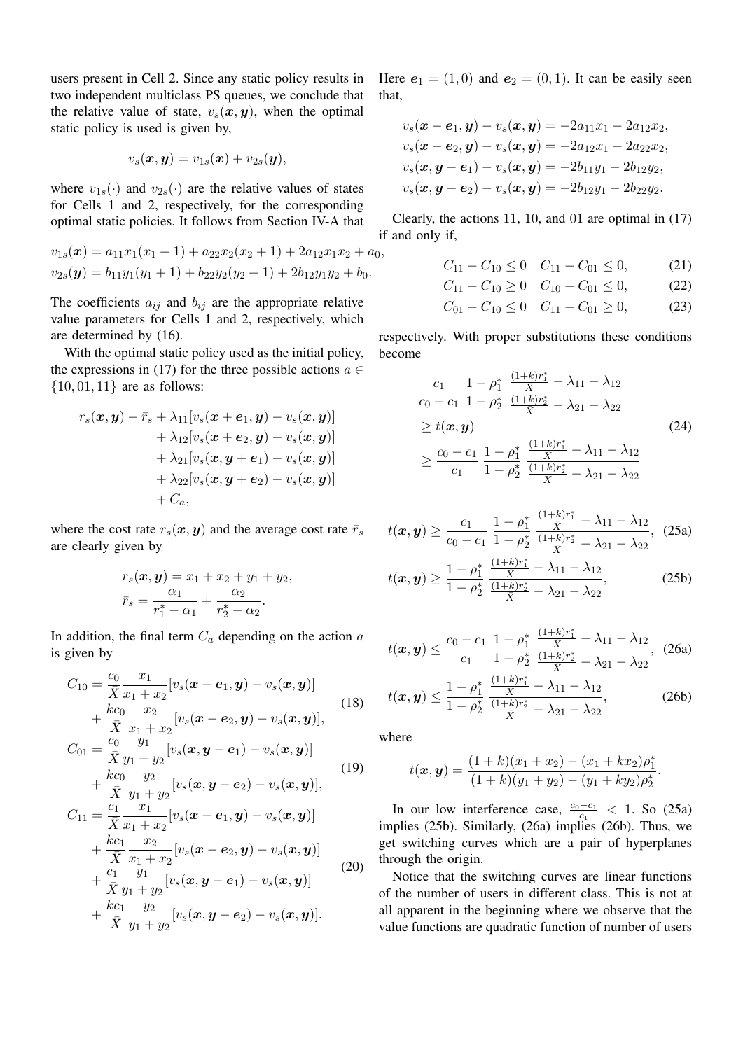users present in Cell 2. Since any static policy results in two independent multiclass PS queues, we conclude that the relative value of state,  $v_s(x, y)$ , when the optimal static policy is used is given by,

$$
v_s(\boldsymbol{x},\boldsymbol{y})=v_{1s}(\boldsymbol{x})+v_{2s}(\boldsymbol{y}),
$$

where  $v_{1s}(\cdot)$  and  $v_{2s}(\cdot)$  are the relative values of states for Cells 1 and 2, respectively, for the corresponding optimal static policies. It follows from Section IV-A that

$$
v_{1s}(\boldsymbol{x}) = a_{11}x_1(x_1+1) + a_{22}x_2(x_2+1) + 2a_{12}x_1x_2 + a_0,
$$
  

$$
v_{2s}(\boldsymbol{y}) = b_{11}y_1(y_1+1) + b_{22}y_2(y_2+1) + 2b_{12}y_1y_2 + b_0.
$$

The coefficients  $a_{ij}$  and  $b_{ij}$  are the appropriate relative value parameters for Cells 1 and 2, respectively, which are determined by (16).

With the optimal static policy used as the initial policy. the expressions in (17) for the three possible actions  $a \in$  ${10, 01, 11}$  are as follows:

$$
r_s(\boldsymbol{x},\boldsymbol{y})-\bar{r}_s+\lambda_{11}[v_s(\boldsymbol{x}+\boldsymbol{e}_1,\boldsymbol{y})-v_s(\boldsymbol{x},\boldsymbol{y})]\\+\lambda_{12}[v_s(\boldsymbol{x}+\boldsymbol{e}_2,\boldsymbol{y})-v_s(\boldsymbol{x},\boldsymbol{y})]\\+\lambda_{21}[v_s(\boldsymbol{x},\boldsymbol{y}+\boldsymbol{e}_1)-v_s(\boldsymbol{x},\boldsymbol{y})]\\+\lambda_{22}[v_s(\boldsymbol{x},\boldsymbol{y}+\boldsymbol{e}_2)-v_s(\boldsymbol{x},\boldsymbol{y})]\\+C_a,
$$

where the cost rate  $r_s(x, y)$  and the average cost rate  $\bar{r}_s$ are clearly given by

$$
r_s(\mathbf{x}, \mathbf{y}) = x_1 + x_2 + y_1 + y_2,
$$
  
\n
$$
\bar{r}_s = \frac{\alpha_1}{r_1^* - \alpha_1} + \frac{\alpha_2}{r_2^* - \alpha_2}.
$$

In addition, the final term  $C_a$  depending on the action  $a$ is given by

$$
C_{10} = \frac{c_0}{\bar{X}} \frac{x_1}{x_1 + x_2} [v_s(x - e_1, y) - v_s(x, y)]
$$
  
+  $\frac{k c_0}{\bar{X}} \frac{x_2}{x_1 + x_2} [v_s(x - e_2, y) - v_s(x, y)],$   

$$
C_{01} = \frac{c_0}{\bar{X}} \frac{y_1}{y_1 + y_2} [v_s(x, y - e_1) - v_s(x, y)]
$$
  
+  $\frac{k c_0}{\bar{X}} \frac{y_2}{y_1 + y_2} [v_s(x, y - e_2) - v_s(x, y)],$   

$$
C_{11} = \frac{c_1}{\bar{X}} \frac{x_1}{x_1 + x_2} [v_s(x - e_1, y) - v_s(x, y)]
$$
  
+  $\frac{k c_1}{\bar{X}} \frac{x_2}{x_1 + x_2} [v_s(x - e_2, y) - v_s(x, y)]$   
+  $\frac{c_1}{\bar{X}} \frac{y_1}{y_1 + y_2} [v_s(x, y - e_1) - v_s(x, y)]$   
+  $\frac{k c_1}{\bar{X}} \frac{y_2}{y_1 + y_2} [v_s(x, y - e_2) - v_s(x, y)].$   
(20)

Here  $e_1 = (1, 0)$  and  $e_2 = (0, 1)$ . It can be easily seen that,

$$
v_s(\bm{x}-\bm{e}_1,\bm{y})-v_s(\bm{x},\bm{y})=-2a_{11}x_1-2a_{12}x_2,\\ v_s(\bm{x}-\bm{e}_2,\bm{y})-v_s(\bm{x},\bm{y})=-2a_{12}x_1-2a_{22}x_2,\\ v_s(\bm{x},\bm{y}-\bm{e}_1)-v_s(\bm{x},\bm{y})=-2b_{11}y_1-2b_{12}y_2,\\ v_s(\bm{x},\bm{y}-\bm{e}_2)-v_s(\bm{x},\bm{y})=-2b_{12}y_1-2b_{22}y_2.
$$

Clearly, the actions 11, 10, and 01 are optimal in (17) if and only if,

$$
C_{11} - C_{10} \le 0 \quad C_{11} - C_{01} \le 0, \tag{21}
$$

$$
C_{11} - C_{10} \ge 0 \quad C_{10} - C_{01} \le 0, \tag{22}
$$

$$
C_{01} - C_{10} \le 0 \quad C_{11} - C_{01} \ge 0, \tag{23}
$$

respectively. With proper substitutions these conditions become

$$
\frac{c_1}{c_0 - c_1} \frac{1 - \rho_1^*}{1 - \rho_2^*} \frac{\frac{(1 + k)r_1^*}{\tilde{X}} - \lambda_{11} - \lambda_{12}}{\frac{(1 + k)r_2^*}{\tilde{X}} - \lambda_{21} - \lambda_{22}} \n\geq t(\boldsymbol{x}, \boldsymbol{y}) \n\geq \frac{c_0 - c_1}{c_1} \frac{1 - \rho_1^*}{1 - \rho_2^*} \frac{\frac{(1 + k)r_1^*}{\tilde{X}} - \lambda_{11} - \lambda_{12}}{\frac{(1 + k)r_2^*}{\tilde{X}} - \lambda_{21} - \lambda_{22}}
$$
\n(24)

$$
t(\boldsymbol{x}, \boldsymbol{y}) \geq \frac{c_1}{c_0 - c_1} \frac{1 - \rho_1^*}{1 - \rho_2^*} \frac{\frac{(1 + k)r_1^*}{\bar{X}} - \lambda_{11} - \lambda_{12}}{\bar{X}} \quad (25a)
$$

$$
t(\boldsymbol{x}, \boldsymbol{y}) \geq \frac{1 - \rho_1^*}{1 - \rho_2^*} \frac{\frac{(1 + k)r_1^*}{\bar{X}} - \lambda_{11} - \lambda_{12}}{\frac{(1 + k)r_2^*}{\bar{X}} - \lambda_{21} - \lambda_{22}}, \qquad (25b)
$$

$$
t(\boldsymbol{x}, \boldsymbol{y}) \le \frac{c_0 - c_1}{c_1} \frac{1 - \rho_1^*}{1 - \rho_2^*} \frac{\frac{(1 + k)r_1^*}{\tilde{X}} - \lambda_{11} - \lambda_{12}}{\tilde{X}} \quad (26a)
$$
  

$$
t(\boldsymbol{x}, \boldsymbol{y}) \le \frac{1 - \rho_1^*}{1 - \rho_2^*} \frac{\frac{(1 + k)r_1^*}{\tilde{X}} - \lambda_{11} - \lambda_{12}}{\frac{(1 + k)r_2^*}{\tilde{X}} - \lambda_{21} - \lambda_{22}}, \qquad (26b)
$$

where

$$
t(\boldsymbol{x}, \boldsymbol{y}) = \frac{(1+k)(x_1+x_2) - (x_1+kx_2)\rho_1^*}{(1+k)(y_1+y_2) - (y_1+ky_2)\rho_2^*}.
$$

In our low interference case,  $\frac{c_0 - c_1}{c_1} < 1$ . So (25a) implies (25b). Similarly, (26a) implies (26b). Thus, we get switching curves which are a pair of hyperplanes through the origin.

Notice that the switching curves are linear functions of the number of users in different class. This is not at all apparent in the beginning where we observe that the value functions are quadratic function of number of users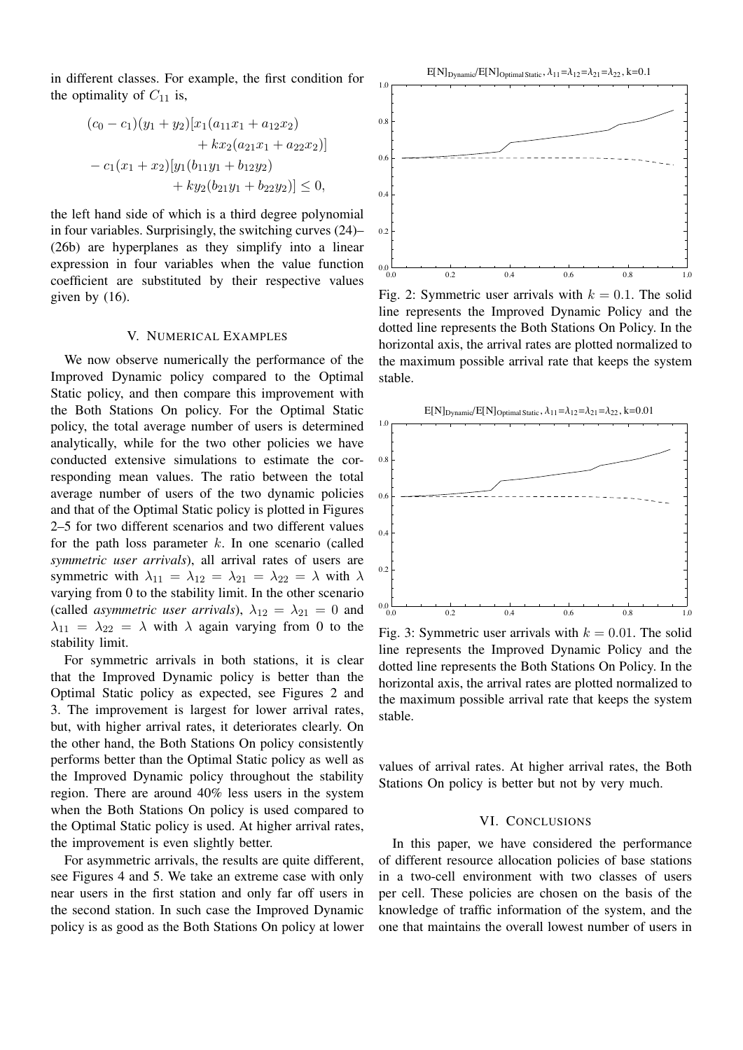in different classes. For example, the first condition for the optimality of  $C_{11}$  is,

$$
(c_0 - c_1)(y_1 + y_2)[x_1(a_{11}x_1 + a_{12}x_2)+ kx_2(a_{21}x_1 + a_{22}x_2)]
$$
  

$$
- c_1(x_1 + x_2)[y_1(b_{11}y_1 + b_{12}y_2)+ ky_2(b_{21}y_1 + b_{22}y_2)] \le 0,
$$

the left hand side of which is a third degree polynomial in four variables. Surprisingly, the switching curves (24)– (26b) are hyperplanes as they simplify into a linear expression in four variables when the value function coefficient are substituted by their respective values given by (16).

# V. NUMERICAL EXAMPLES

We now observe numerically the performance of the Improved Dynamic policy compared to the Optimal Static policy, and then compare this improvement with the Both Stations On policy. For the Optimal Static policy, the total average number of users is determined analytically, while for the two other policies we have conducted extensive simulations to estimate the corresponding mean values. The ratio between the total average number of users of the two dynamic policies and that of the Optimal Static policy is plotted in Figures 2–5 for two different scenarios and two different values for the path loss parameter  $k$ . In one scenario (called *symmetric user arrivals*), all arrival rates of users are symmetric with  $\lambda_{11} = \lambda_{12} = \lambda_{21} = \lambda_{22} = \lambda$  with  $\lambda$ varying from 0 to the stability limit. In the other scenario (called *asymmetric user arrivals*),  $\lambda_{12} = \lambda_{21} = 0$  and  $\lambda_{11} = \lambda_{22} = \lambda$  with  $\lambda$  again varying from 0 to the stability limit.

For symmetric arrivals in both stations, it is clear that the Improved Dynamic policy is better than the Optimal Static policy as expected, see Figures 2 and 3. The improvement is largest for lower arrival rates, but, with higher arrival rates, it deteriorates clearly. On the other hand, the Both Stations On policy consistently performs better than the Optimal Static policy as well as the Improved Dynamic policy throughout the stability region. There are around 40% less users in the system when the Both Stations On policy is used compared to the Optimal Static policy is used. At higher arrival rates, the improvement is even slightly better.

For asymmetric arrivals, the results are quite different, see Figures 4 and 5. We take an extreme case with only near users in the first station and only far off users in the second station. In such case the Improved Dynamic policy is as good as the Both Stations On policy at lower



Fig. 2: Symmetric user arrivals with  $k = 0.1$ . The solid line represents the Improved Dynamic Policy and the dotted line represents the Both Stations On Policy. In the horizontal axis, the arrival rates are plotted normalized to the maximum possible arrival rate that keeps the system stable.



Fig. 3: Symmetric user arrivals with  $k = 0.01$ . The solid line represents the Improved Dynamic Policy and the dotted line represents the Both Stations On Policy. In the horizontal axis, the arrival rates are plotted normalized to the maximum possible arrival rate that keeps the system stable.

values of arrival rates. At higher arrival rates, the Both Stations On policy is better but not by very much.

### VI. CONCLUSIONS

In this paper, we have considered the performance of different resource allocation policies of base stations in a two-cell environment with two classes of users per cell. These policies are chosen on the basis of the knowledge of traffic information of the system, and the one that maintains the overall lowest number of users in